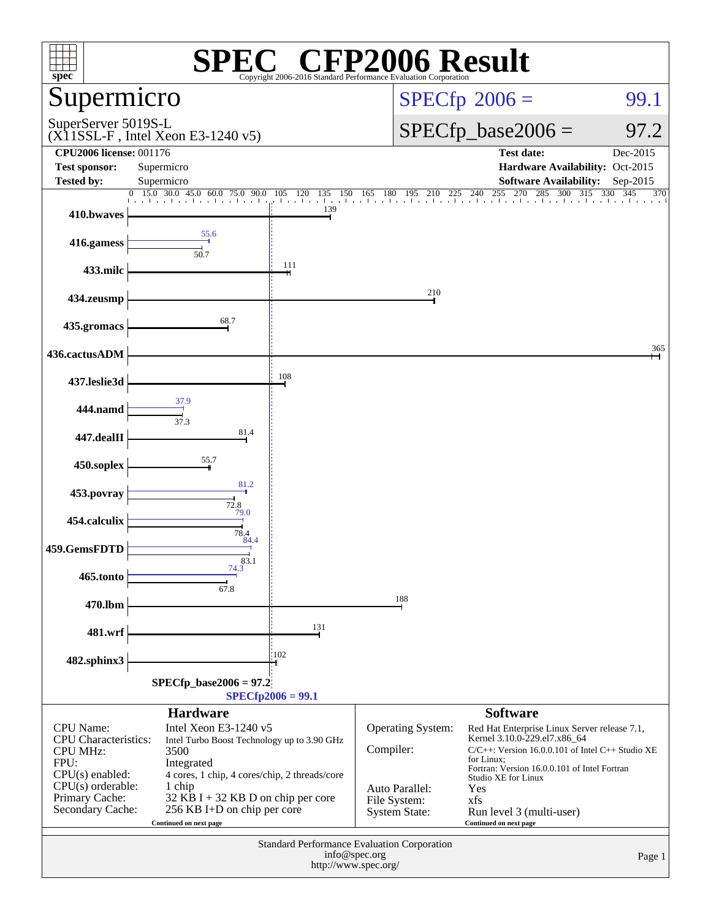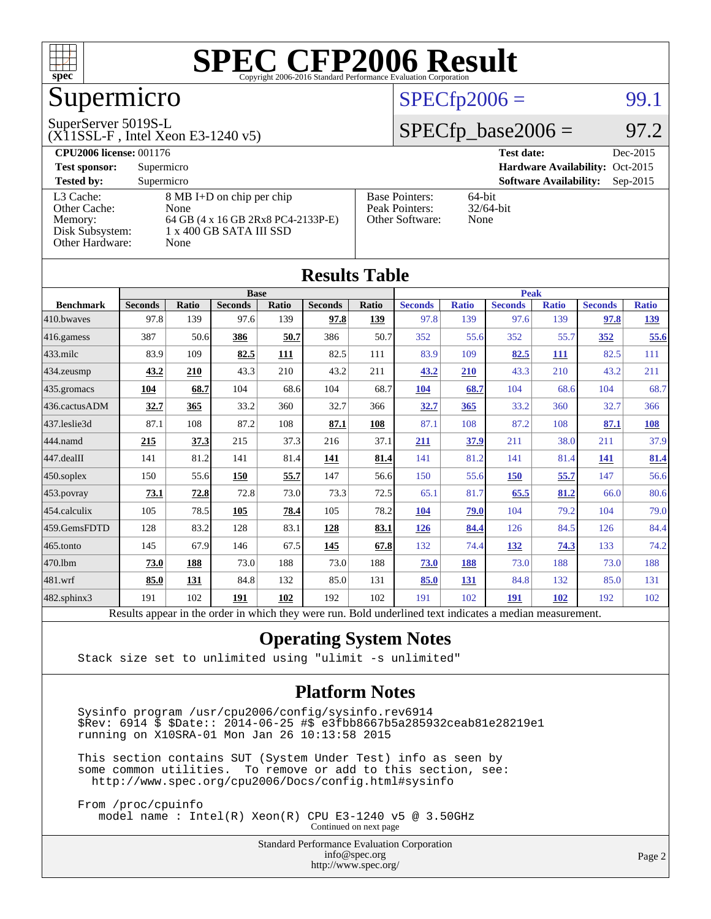

# Supermicro

#### SuperServer 5019S-L

(X11SSL-F , Intel Xeon E3-1240 v5)

### $SPECTp2006 =$  99.1

# $SPECfp\_base2006 = 97.2$

| <b>CPU2006 license: 001176</b> |                                    |                       | <b>Test date:</b><br>Dec-2015               |
|--------------------------------|------------------------------------|-----------------------|---------------------------------------------|
| <b>Test sponsor:</b>           | Supermicro                         |                       | Hardware Availability: Oct-2015             |
| <b>Tested by:</b>              | Supermicro                         |                       | <b>Software Availability:</b><br>$Sep-2015$ |
| L3 Cache:                      | 8 MB I+D on chip per chip          | <b>Base Pointers:</b> | 64-bit                                      |
| Other Cache:                   | None                               | Peak Pointers:        | $32/64$ -bit                                |
| Memory:                        | 64 GB (4 x 16 GB 2Rx8 PC4-2133P-E) | Other Software:       | None                                        |
| Disk Subsystem:                | 1 x 400 GB SATA III SSD            |                       |                                             |
| Other Hardware:                | None                               |                       |                                             |

**[Results Table](http://www.spec.org/auto/cpu2006/Docs/result-fields.html#ResultsTable)**

| Results Tadie     |                                                                                                          |              |                |       |                |       |                |              |                |              |                |              |
|-------------------|----------------------------------------------------------------------------------------------------------|--------------|----------------|-------|----------------|-------|----------------|--------------|----------------|--------------|----------------|--------------|
|                   | <b>Base</b>                                                                                              |              |                |       |                |       | <b>Peak</b>    |              |                |              |                |              |
| <b>Benchmark</b>  | <b>Seconds</b>                                                                                           | <b>Ratio</b> | <b>Seconds</b> | Ratio | <b>Seconds</b> | Ratio | <b>Seconds</b> | <b>Ratio</b> | <b>Seconds</b> | <b>Ratio</b> | <b>Seconds</b> | <b>Ratio</b> |
| 410.bwaves        | 97.8                                                                                                     | 139          | 97.6           | 139   | 97.8           | 139   | 97.8           | 139          | 97.6           | 139          | 97.8           | <u>139</u>   |
| 416.gamess        | 387                                                                                                      | 50.6         | 386            | 50.7  | 386            | 50.7  | 352            | 55.6         | 352            | 55.7         | 352            | 55.6         |
| $433$ .milc       | 83.9                                                                                                     | 109          | 82.5           | 111   | 82.5           | 111   | 83.9           | 109          | 82.5           | 111          | 82.5           | 111          |
| 434.zeusmp        | 43.2                                                                                                     | 210          | 43.3           | 210   | 43.2           | 211   | 43.2           | 210          | 43.3           | 210          | 43.2           | 211          |
| 435.gromacs       | 104                                                                                                      | 68.7         | 104            | 68.6  | 104            | 68.7  | 104            | 68.7         | 104            | 68.6         | 104            | 68.7         |
| 436.cactusADM     | 32.7                                                                                                     | 365          | 33.2           | 360   | 32.7           | 366   | 32.7           | 365          | 33.2           | 360          | 32.7           | 366          |
| 437.leslie3d      | 87.1                                                                                                     | 108          | 87.2           | 108   | 87.1           | 108   | 87.1           | 108          | 87.2           | 108          | 87.1           | 108          |
| 444.namd          | 215                                                                                                      | 37.3         | 215            | 37.3  | 216            | 37.1  | 211            | 37.9         | 211            | 38.0         | 211            | 37.9         |
| 447.dealII        | 141                                                                                                      | 81.2         | 141            | 81.4  | 141            | 81.4  | 141            | 81.2         | 141            | 81.4         | <u>141</u>     | 81.4         |
| $450$ .soplex     | 150                                                                                                      | 55.6         | 150            | 55.7  | 147            | 56.6  | 150            | 55.6         | <b>150</b>     | 55.7         | 147            | 56.6         |
| 453.povray        | 73.1                                                                                                     | 72.8         | 72.8           | 73.0  | 73.3           | 72.5  | 65.1           | 81.7         | 65.5           | 81.2         | 66.0           | 80.6         |
| 454.calculix      | 105                                                                                                      | 78.5         | 105            | 78.4  | 105            | 78.2  | 104            | 79.0         | 104            | 79.2         | 104            | 79.0         |
| 459.GemsFDTD      | 128                                                                                                      | 83.2         | 128            | 83.1  | 128            | 83.1  | <u>126</u>     | 84.4         | 126            | 84.5         | 126            | 84.4         |
| 465.tonto         | 145                                                                                                      | 67.9         | 146            | 67.5  | 145            | 67.8  | 132            | 74.4         | <u>132</u>     | 74.3         | 133            | 74.2         |
| 470.1bm           | 73.0                                                                                                     | 188          | 73.0           | 188   | 73.0           | 188   | 73.0           | 188          | 73.0           | 188          | 73.0           | 188          |
| 481.wrf           | 85.0                                                                                                     | 131          | 84.8           | 132   | 85.0           | 131   | 85.0           | 131          | 84.8           | 132          | 85.0           | 131          |
| $482$ .sphinx $3$ | 191                                                                                                      | 102          | 191            | 102   | 192            | 102   | 191            | 102          | 191            | <b>102</b>   | 192            | 102          |
|                   | Results appear in the order in which they were run. Bold underlined text indicates a median measurement. |              |                |       |                |       |                |              |                |              |                |              |

### **[Operating System Notes](http://www.spec.org/auto/cpu2006/Docs/result-fields.html#OperatingSystemNotes)**

Stack size set to unlimited using "ulimit -s unlimited"

#### **[Platform Notes](http://www.spec.org/auto/cpu2006/Docs/result-fields.html#PlatformNotes)**

 Sysinfo program /usr/cpu2006/config/sysinfo.rev6914 \$Rev: 6914 \$ \$Date:: 2014-06-25 #\$ e3fbb8667b5a285932ceab81e28219e1 running on X10SRA-01 Mon Jan 26 10:13:58 2015

 This section contains SUT (System Under Test) info as seen by some common utilities. To remove or add to this section, see: <http://www.spec.org/cpu2006/Docs/config.html#sysinfo>

 From /proc/cpuinfo model name : Intel(R) Xeon(R) CPU E3-1240 v5 @ 3.50GHz Continued on next page

Standard Performance Evaluation Corporation

[info@spec.org](mailto:info@spec.org) <http://www.spec.org/>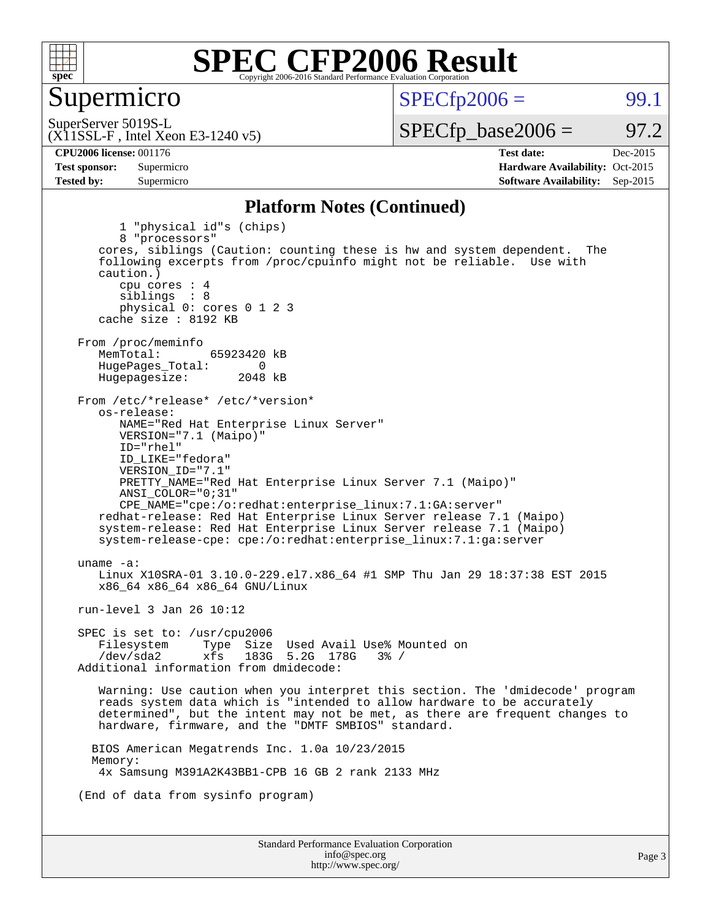

### Supermicro

 $SPECTp2006 =$  99.1

(X11SSL-F , Intel Xeon E3-1240 v5) SuperServer 5019S-L

 $SPECTp\_base2006 = 97.2$ 

**[CPU2006 license:](http://www.spec.org/auto/cpu2006/Docs/result-fields.html#CPU2006license)** 001176 **[Test date:](http://www.spec.org/auto/cpu2006/Docs/result-fields.html#Testdate)** Dec-2015 **[Test sponsor:](http://www.spec.org/auto/cpu2006/Docs/result-fields.html#Testsponsor)** Supermicro Supermicro **[Hardware Availability:](http://www.spec.org/auto/cpu2006/Docs/result-fields.html#HardwareAvailability)** Oct-2015 **[Tested by:](http://www.spec.org/auto/cpu2006/Docs/result-fields.html#Testedby)** Supermicro **Supermicro [Software Availability:](http://www.spec.org/auto/cpu2006/Docs/result-fields.html#SoftwareAvailability)** Sep-2015

#### **[Platform Notes \(Continued\)](http://www.spec.org/auto/cpu2006/Docs/result-fields.html#PlatformNotes)**

Standard Performance Evaluation Corporation [info@spec.org](mailto:info@spec.org) 1 "physical id"s (chips) 8 "processors" cores, siblings (Caution: counting these is hw and system dependent. The following excerpts from /proc/cpuinfo might not be reliable. Use with caution.) cpu cores : 4 siblings : 8 physical 0: cores 0 1 2 3 cache size : 8192 KB From /proc/meminfo<br>MemTotal: 65923420 kB HugePages\_Total: 0<br>Hugepagesize: 2048 kB Hugepagesize: From /etc/\*release\* /etc/\*version\* os-release: NAME="Red Hat Enterprise Linux Server" VERSION="7.1 (Maipo)" ID="rhel" ID\_LIKE="fedora" VERSION\_ID="7.1" PRETTY\_NAME="Red Hat Enterprise Linux Server 7.1 (Maipo)" ANSI\_COLOR="0;31" CPE\_NAME="cpe:/o:redhat:enterprise\_linux:7.1:GA:server" redhat-release: Red Hat Enterprise Linux Server release 7.1 (Maipo) system-release: Red Hat Enterprise Linux Server release 7.1 (Maipo) system-release-cpe: cpe:/o:redhat:enterprise\_linux:7.1:ga:server uname -a: Linux X10SRA-01 3.10.0-229.el7.x86\_64 #1 SMP Thu Jan 29 18:37:38 EST 2015 x86\_64 x86\_64 x86\_64 GNU/Linux run-level 3 Jan 26 10:12 SPEC is set to: /usr/cpu2006 Filesystem Type Size Used Avail Use% Mounted on<br>
/dev/sda2 xfs 183G 5.2G 178G 3% / 183G 5.2G 178G Additional information from dmidecode: Warning: Use caution when you interpret this section. The 'dmidecode' program reads system data which is "intended to allow hardware to be accurately determined", but the intent may not be met, as there are frequent changes to hardware, firmware, and the "DMTF SMBIOS" standard. BIOS American Megatrends Inc. 1.0a 10/23/2015 Memory: 4x Samsung M391A2K43BB1-CPB 16 GB 2 rank 2133 MHz (End of data from sysinfo program)

<http://www.spec.org/>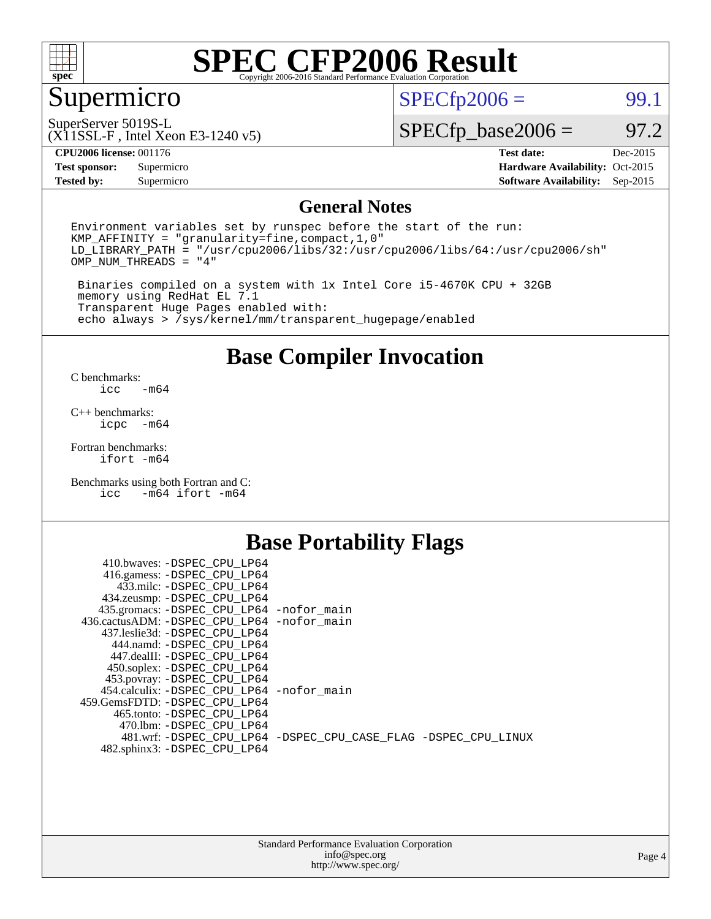

# Supermicro

 $SPECTp2006 =$  99.1

SuperServer 5019S-L

(X11SSL-F , Intel Xeon E3-1240 v5)

 $SPECTp\_base2006 = 97.2$ 

**[CPU2006 license:](http://www.spec.org/auto/cpu2006/Docs/result-fields.html#CPU2006license)** 001176 **[Test date:](http://www.spec.org/auto/cpu2006/Docs/result-fields.html#Testdate)** Dec-2015

**[Test sponsor:](http://www.spec.org/auto/cpu2006/Docs/result-fields.html#Testsponsor)** Supermicro Supermicro **[Hardware Availability:](http://www.spec.org/auto/cpu2006/Docs/result-fields.html#HardwareAvailability)** Oct-2015 **[Tested by:](http://www.spec.org/auto/cpu2006/Docs/result-fields.html#Testedby)** Supermicro **[Software Availability:](http://www.spec.org/auto/cpu2006/Docs/result-fields.html#SoftwareAvailability)** Sep-2015

### **[General Notes](http://www.spec.org/auto/cpu2006/Docs/result-fields.html#GeneralNotes)**

Environment variables set by runspec before the start of the run: KMP\_AFFINITY = "granularity=fine,compact,1,0"  $LD$ <sup>LIBRARY\_PATH = "/usr/cpu2006/libs/32:/usr/cpu2006/libs/64:/usr/cpu2006/sh"</sup> OMP\_NUM\_THREADS = "4"

 Binaries compiled on a system with 1x Intel Core i5-4670K CPU + 32GB memory using RedHat EL 7.1 Transparent Huge Pages enabled with: echo always > /sys/kernel/mm/transparent\_hugepage/enabled

### **[Base Compiler Invocation](http://www.spec.org/auto/cpu2006/Docs/result-fields.html#BaseCompilerInvocation)**

[C benchmarks](http://www.spec.org/auto/cpu2006/Docs/result-fields.html#Cbenchmarks):  $-m64$ 

[C++ benchmarks:](http://www.spec.org/auto/cpu2006/Docs/result-fields.html#CXXbenchmarks) [icpc -m64](http://www.spec.org/cpu2006/results/res2016q1/cpu2006-20151217-38450.flags.html#user_CXXbase_intel_icpc_64bit_bedb90c1146cab66620883ef4f41a67e)

[Fortran benchmarks](http://www.spec.org/auto/cpu2006/Docs/result-fields.html#Fortranbenchmarks): [ifort -m64](http://www.spec.org/cpu2006/results/res2016q1/cpu2006-20151217-38450.flags.html#user_FCbase_intel_ifort_64bit_ee9d0fb25645d0210d97eb0527dcc06e)

[Benchmarks using both Fortran and C](http://www.spec.org/auto/cpu2006/Docs/result-fields.html#BenchmarksusingbothFortranandC): [icc -m64](http://www.spec.org/cpu2006/results/res2016q1/cpu2006-20151217-38450.flags.html#user_CC_FCbase_intel_icc_64bit_0b7121f5ab7cfabee23d88897260401c) [ifort -m64](http://www.spec.org/cpu2006/results/res2016q1/cpu2006-20151217-38450.flags.html#user_CC_FCbase_intel_ifort_64bit_ee9d0fb25645d0210d97eb0527dcc06e)

## **[Base Portability Flags](http://www.spec.org/auto/cpu2006/Docs/result-fields.html#BasePortabilityFlags)**

| 410.bwaves: -DSPEC CPU LP64                |                                                                |
|--------------------------------------------|----------------------------------------------------------------|
| 416.gamess: -DSPEC_CPU_LP64                |                                                                |
| 433.milc: -DSPEC CPU LP64                  |                                                                |
| 434.zeusmp: -DSPEC_CPU_LP64                |                                                                |
| 435.gromacs: -DSPEC_CPU_LP64 -nofor_main   |                                                                |
| 436.cactusADM: -DSPEC CPU LP64 -nofor main |                                                                |
| 437.leslie3d: -DSPEC CPU LP64              |                                                                |
| 444.namd: -DSPEC CPU LP64                  |                                                                |
| 447.dealII: -DSPEC CPU LP64                |                                                                |
| 450.soplex: -DSPEC_CPU_LP64                |                                                                |
| 453.povray: -DSPEC_CPU_LP64                |                                                                |
| 454.calculix: -DSPEC CPU LP64 -nofor main  |                                                                |
| 459. GemsFDTD: - DSPEC CPU LP64            |                                                                |
| 465.tonto: - DSPEC CPU LP64                |                                                                |
| 470.1bm: - DSPEC CPU LP64                  |                                                                |
|                                            | 481.wrf: -DSPEC CPU_LP64 -DSPEC_CPU_CASE_FLAG -DSPEC_CPU_LINUX |
| 482.sphinx3: -DSPEC_CPU_LP64               |                                                                |
|                                            |                                                                |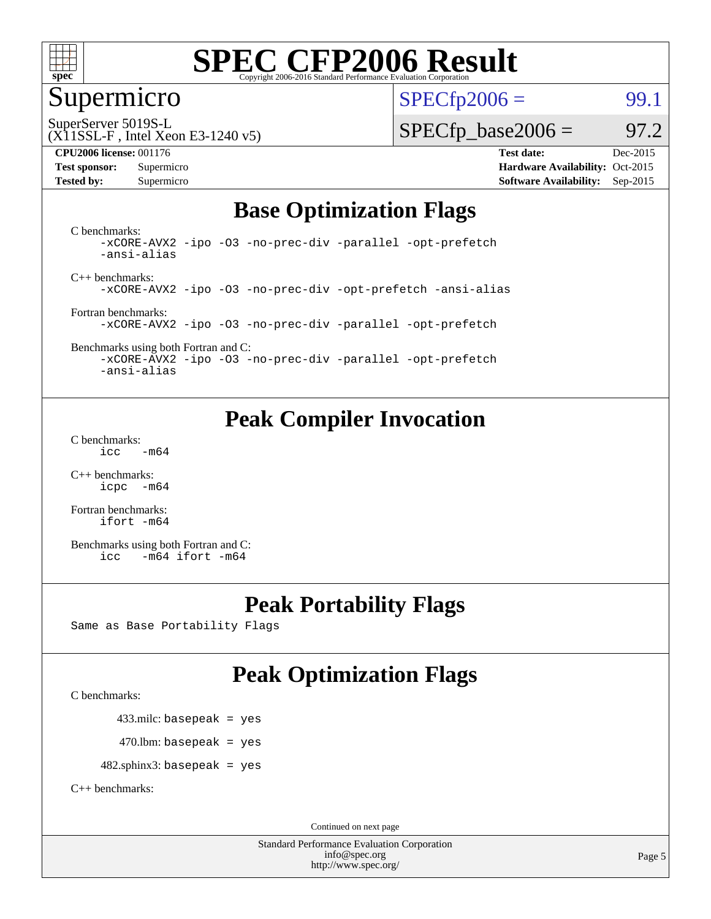

# Supermicro

 $SPECTp2006 =$  99.1

SuperServer 5019S-L

#### (X11SSL-F , Intel Xeon E3-1240 v5)

#### **[CPU2006 license:](http://www.spec.org/auto/cpu2006/Docs/result-fields.html#CPU2006license)** 001176 **[Test date:](http://www.spec.org/auto/cpu2006/Docs/result-fields.html#Testdate)** Dec-2015

 $SPECTp\_base2006 = 97.2$ 

**[Test sponsor:](http://www.spec.org/auto/cpu2006/Docs/result-fields.html#Testsponsor)** Supermicro Supermicro **[Hardware Availability:](http://www.spec.org/auto/cpu2006/Docs/result-fields.html#HardwareAvailability)** Oct-2015 **[Tested by:](http://www.spec.org/auto/cpu2006/Docs/result-fields.html#Testedby)** Supermicro **Supermicro [Software Availability:](http://www.spec.org/auto/cpu2006/Docs/result-fields.html#SoftwareAvailability)** Sep-2015

# **[Base Optimization Flags](http://www.spec.org/auto/cpu2006/Docs/result-fields.html#BaseOptimizationFlags)**

[C benchmarks](http://www.spec.org/auto/cpu2006/Docs/result-fields.html#Cbenchmarks): [-xCORE-AVX2](http://www.spec.org/cpu2006/results/res2016q1/cpu2006-20151217-38450.flags.html#user_CCbase_f-xAVX2_5f5fc0cbe2c9f62c816d3e45806c70d7) [-ipo](http://www.spec.org/cpu2006/results/res2016q1/cpu2006-20151217-38450.flags.html#user_CCbase_f-ipo) [-O3](http://www.spec.org/cpu2006/results/res2016q1/cpu2006-20151217-38450.flags.html#user_CCbase_f-O3) [-no-prec-div](http://www.spec.org/cpu2006/results/res2016q1/cpu2006-20151217-38450.flags.html#user_CCbase_f-no-prec-div) [-parallel](http://www.spec.org/cpu2006/results/res2016q1/cpu2006-20151217-38450.flags.html#user_CCbase_f-parallel) [-opt-prefetch](http://www.spec.org/cpu2006/results/res2016q1/cpu2006-20151217-38450.flags.html#user_CCbase_f-opt-prefetch) [-ansi-alias](http://www.spec.org/cpu2006/results/res2016q1/cpu2006-20151217-38450.flags.html#user_CCbase_f-ansi-alias)

[C++ benchmarks:](http://www.spec.org/auto/cpu2006/Docs/result-fields.html#CXXbenchmarks) [-xCORE-AVX2](http://www.spec.org/cpu2006/results/res2016q1/cpu2006-20151217-38450.flags.html#user_CXXbase_f-xAVX2_5f5fc0cbe2c9f62c816d3e45806c70d7) [-ipo](http://www.spec.org/cpu2006/results/res2016q1/cpu2006-20151217-38450.flags.html#user_CXXbase_f-ipo) [-O3](http://www.spec.org/cpu2006/results/res2016q1/cpu2006-20151217-38450.flags.html#user_CXXbase_f-O3) [-no-prec-div](http://www.spec.org/cpu2006/results/res2016q1/cpu2006-20151217-38450.flags.html#user_CXXbase_f-no-prec-div) [-opt-prefetch](http://www.spec.org/cpu2006/results/res2016q1/cpu2006-20151217-38450.flags.html#user_CXXbase_f-opt-prefetch) [-ansi-alias](http://www.spec.org/cpu2006/results/res2016q1/cpu2006-20151217-38450.flags.html#user_CXXbase_f-ansi-alias)

[Fortran benchmarks](http://www.spec.org/auto/cpu2006/Docs/result-fields.html#Fortranbenchmarks): [-xCORE-AVX2](http://www.spec.org/cpu2006/results/res2016q1/cpu2006-20151217-38450.flags.html#user_FCbase_f-xAVX2_5f5fc0cbe2c9f62c816d3e45806c70d7) [-ipo](http://www.spec.org/cpu2006/results/res2016q1/cpu2006-20151217-38450.flags.html#user_FCbase_f-ipo) [-O3](http://www.spec.org/cpu2006/results/res2016q1/cpu2006-20151217-38450.flags.html#user_FCbase_f-O3) [-no-prec-div](http://www.spec.org/cpu2006/results/res2016q1/cpu2006-20151217-38450.flags.html#user_FCbase_f-no-prec-div) [-parallel](http://www.spec.org/cpu2006/results/res2016q1/cpu2006-20151217-38450.flags.html#user_FCbase_f-parallel) [-opt-prefetch](http://www.spec.org/cpu2006/results/res2016q1/cpu2006-20151217-38450.flags.html#user_FCbase_f-opt-prefetch)

[Benchmarks using both Fortran and C](http://www.spec.org/auto/cpu2006/Docs/result-fields.html#BenchmarksusingbothFortranandC): [-xCORE-AVX2](http://www.spec.org/cpu2006/results/res2016q1/cpu2006-20151217-38450.flags.html#user_CC_FCbase_f-xAVX2_5f5fc0cbe2c9f62c816d3e45806c70d7) [-ipo](http://www.spec.org/cpu2006/results/res2016q1/cpu2006-20151217-38450.flags.html#user_CC_FCbase_f-ipo) [-O3](http://www.spec.org/cpu2006/results/res2016q1/cpu2006-20151217-38450.flags.html#user_CC_FCbase_f-O3) [-no-prec-div](http://www.spec.org/cpu2006/results/res2016q1/cpu2006-20151217-38450.flags.html#user_CC_FCbase_f-no-prec-div) [-parallel](http://www.spec.org/cpu2006/results/res2016q1/cpu2006-20151217-38450.flags.html#user_CC_FCbase_f-parallel) [-opt-prefetch](http://www.spec.org/cpu2006/results/res2016q1/cpu2006-20151217-38450.flags.html#user_CC_FCbase_f-opt-prefetch)

[-ansi-alias](http://www.spec.org/cpu2006/results/res2016q1/cpu2006-20151217-38450.flags.html#user_CC_FCbase_f-ansi-alias)

# **[Peak Compiler Invocation](http://www.spec.org/auto/cpu2006/Docs/result-fields.html#PeakCompilerInvocation)**

[C benchmarks](http://www.spec.org/auto/cpu2006/Docs/result-fields.html#Cbenchmarks):  $\text{icc}$   $-\text{m64}$ 

[C++ benchmarks:](http://www.spec.org/auto/cpu2006/Docs/result-fields.html#CXXbenchmarks) [icpc -m64](http://www.spec.org/cpu2006/results/res2016q1/cpu2006-20151217-38450.flags.html#user_CXXpeak_intel_icpc_64bit_bedb90c1146cab66620883ef4f41a67e)

[Fortran benchmarks](http://www.spec.org/auto/cpu2006/Docs/result-fields.html#Fortranbenchmarks): [ifort -m64](http://www.spec.org/cpu2006/results/res2016q1/cpu2006-20151217-38450.flags.html#user_FCpeak_intel_ifort_64bit_ee9d0fb25645d0210d97eb0527dcc06e)

[Benchmarks using both Fortran and C](http://www.spec.org/auto/cpu2006/Docs/result-fields.html#BenchmarksusingbothFortranandC): [icc -m64](http://www.spec.org/cpu2006/results/res2016q1/cpu2006-20151217-38450.flags.html#user_CC_FCpeak_intel_icc_64bit_0b7121f5ab7cfabee23d88897260401c) [ifort -m64](http://www.spec.org/cpu2006/results/res2016q1/cpu2006-20151217-38450.flags.html#user_CC_FCpeak_intel_ifort_64bit_ee9d0fb25645d0210d97eb0527dcc06e)

# **[Peak Portability Flags](http://www.spec.org/auto/cpu2006/Docs/result-fields.html#PeakPortabilityFlags)**

Same as Base Portability Flags

# **[Peak Optimization Flags](http://www.spec.org/auto/cpu2006/Docs/result-fields.html#PeakOptimizationFlags)**

[C benchmarks](http://www.spec.org/auto/cpu2006/Docs/result-fields.html#Cbenchmarks):

433.milc: basepeak = yes

 $470.$ lbm: basepeak = yes

482.sphinx3: basepeak = yes

[C++ benchmarks:](http://www.spec.org/auto/cpu2006/Docs/result-fields.html#CXXbenchmarks)

Continued on next page

Standard Performance Evaluation Corporation [info@spec.org](mailto:info@spec.org) <http://www.spec.org/>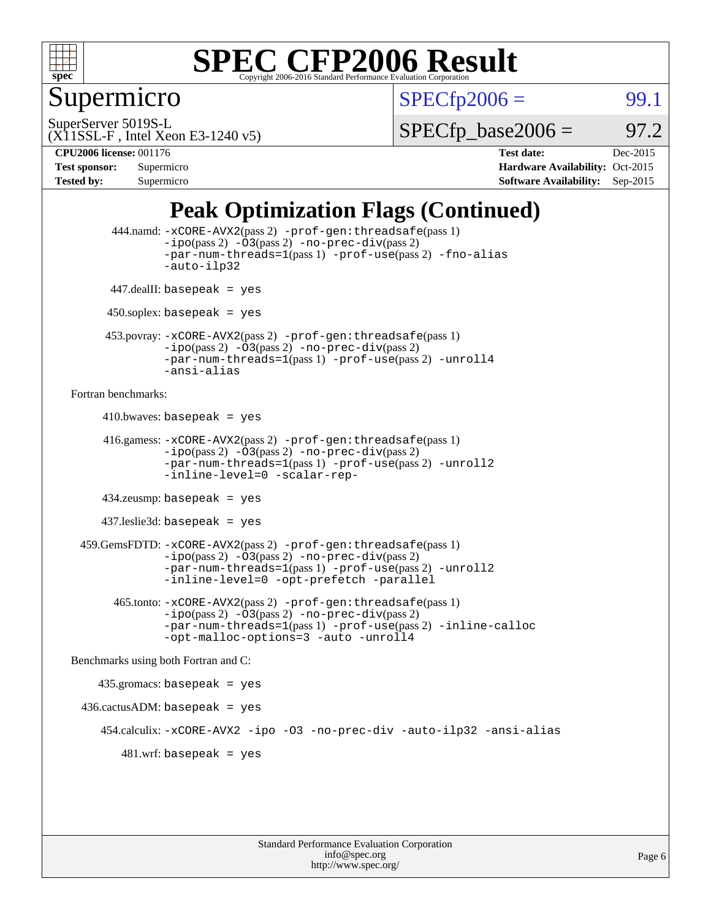

Supermicro

 $SPECTp2006 =$  99.1

SuperServer 5019S-L

 $SPECTp\_base2006 = 97.2$ 

# (X11SSL-F , Intel Xeon E3-1240 v5)

**[CPU2006 license:](http://www.spec.org/auto/cpu2006/Docs/result-fields.html#CPU2006license)** 001176 **[Test date:](http://www.spec.org/auto/cpu2006/Docs/result-fields.html#Testdate)** Dec-2015 **[Test sponsor:](http://www.spec.org/auto/cpu2006/Docs/result-fields.html#Testsponsor)** Supermicro **[Hardware Availability:](http://www.spec.org/auto/cpu2006/Docs/result-fields.html#HardwareAvailability)** Oct-2015 **[Tested by:](http://www.spec.org/auto/cpu2006/Docs/result-fields.html#Testedby)** Supermicro **Supermicro [Software Availability:](http://www.spec.org/auto/cpu2006/Docs/result-fields.html#SoftwareAvailability)** Sep-2015

# **[Peak Optimization Flags \(Continued\)](http://www.spec.org/auto/cpu2006/Docs/result-fields.html#PeakOptimizationFlags)**

```
 444.namd: -xCORE-AVX2(pass 2) -prof-gen:threadsafe(pass 1)
               -ipo(pass 2) -03(pass 2) -no-prec-div(pass 2)
               -par-num-threads=1(pass 1) -prof-use(pass 2) -fno-alias
               -auto-ilp32
      447.dealII: basepeak = yes
      450.soplex: basepeak = yes
      453.povray: -xCORE-AVX2(pass 2) -prof-gen:threadsafe(pass 1)
               -no-prec-div(pass 2)-par-num-threads=1(pass 1) -prof-use(pass 2) -unroll4
               -ansi-alias
Fortran benchmarks: 
     410.bwaves: basepeak = yes 416.gamess: -xCORE-AVX2(pass 2) -prof-gen:threadsafe(pass 1)
               -ipo(pass 2) -03(pass 2) -no-prec-div(pass 2)-par-num-threads=1(pass 1) -prof-use(pass 2) -unroll2
               -inline-level=0 -scalar-rep-
      434.zeusmp: basepeak = yes
     437.leslie3d: basepeak = yes
  459.GemsFDTD: -xCORE-AVX2(pass 2) -prof-gen:threadsafe(pass 1)
               -i\text{po}(pass 2) -\tilde{O}3(pass 2)-no-prec-div(pass 2)
               -par-num-threads=1(pass 1) -prof-use(pass 2) -unroll2
               -inline-level=0 -opt-prefetch -parallel
        465.tonto: -xCORE-AVX2(pass 2) -prof-gen:threadsafe(pass 1)
               -no-prec-div(pass 2)-par-num-threads=1(pass 1) -prof-use(pass 2) -inline-calloc
               -opt-malloc-options=3 -auto -unroll4
Benchmarks using both Fortran and C: 
     435.gromacs: basepeak = yes
 436.cactusADM:basepeak = yes 454.calculix: -xCORE-AVX2 -ipo -O3 -no-prec-div -auto-ilp32 -ansi-alias
        481.wrf: basepeak = yes
```